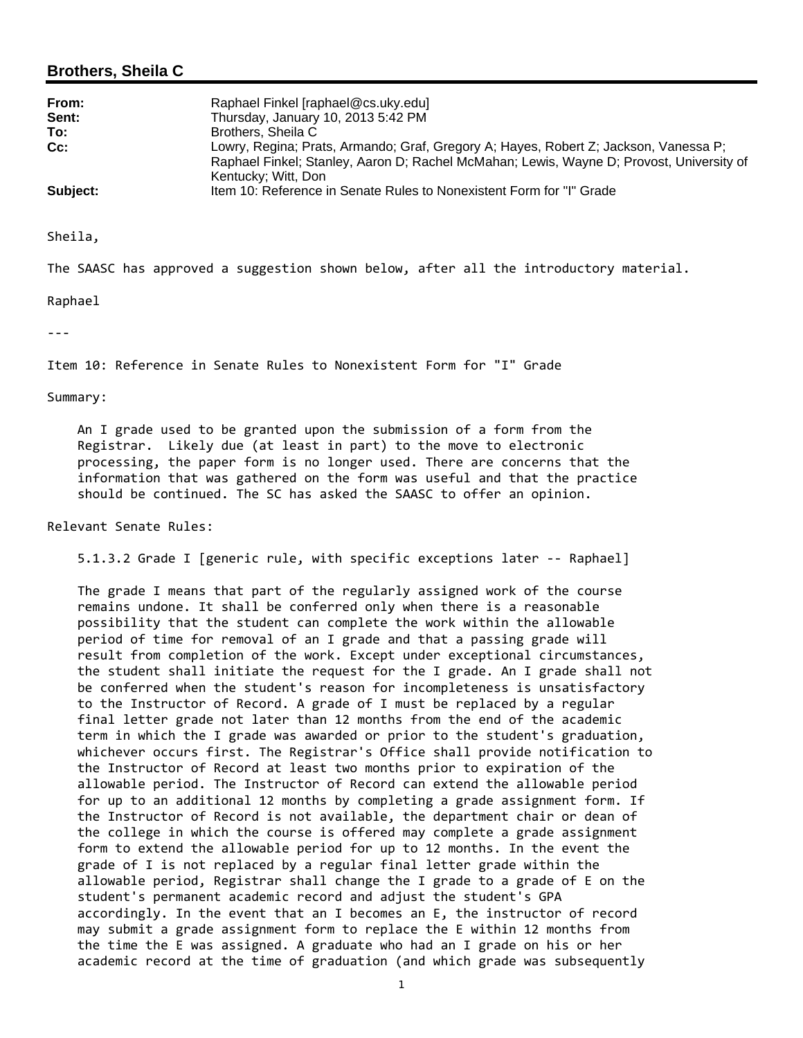# **Brothers, Sheila C**

| From:    | Raphael Finkel [raphael@cs.uky.edu]                                                                                                                                                                     |
|----------|---------------------------------------------------------------------------------------------------------------------------------------------------------------------------------------------------------|
| Sent:    | Thursday, January 10, 2013 5:42 PM                                                                                                                                                                      |
| To:      | Brothers, Sheila C                                                                                                                                                                                      |
| $Cc$ :   | Lowry, Regina; Prats, Armando; Graf, Gregory A; Hayes, Robert Z; Jackson, Vanessa P;<br>Raphael Finkel; Stanley, Aaron D; Rachel McMahan; Lewis, Wayne D; Provost, University of<br>Kentucky; Witt, Don |
| Subject: | Item 10: Reference in Senate Rules to Nonexistent Form for "I" Grade                                                                                                                                    |

Sheila,

The SAASC has approved a suggestion shown below, after all the introductory material.

#### Raphael

‐‐‐

Item 10: Reference in Senate Rules to Nonexistent Form for "I" Grade

Summary:

 An I grade used to be granted upon the submission of a form from the Registrar. Likely due (at least in part) to the move to electronic processing, the paper form is no longer used. There are concerns that the information that was gathered on the form was useful and that the practice should be continued. The SC has asked the SAASC to offer an opinion.

## Relevant Senate Rules:

5.1.3.2 Grade I [generic rule, with specific exceptions later ‐‐ Raphael]

 The grade I means that part of the regularly assigned work of the course remains undone. It shall be conferred only when there is a reasonable possibility that the student can complete the work within the allowable period of time for removal of an I grade and that a passing grade will result from completion of the work. Except under exceptional circumstances, the student shall initiate the request for the I grade. An I grade shall not be conferred when the student's reason for incompleteness is unsatisfactory to the Instructor of Record. A grade of I must be replaced by a regular final letter grade not later than 12 months from the end of the academic term in which the I grade was awarded or prior to the student's graduation, whichever occurs first. The Registrar's Office shall provide notification to the Instructor of Record at least two months prior to expiration of the allowable period. The Instructor of Record can extend the allowable period for up to an additional 12 months by completing a grade assignment form. If the Instructor of Record is not available, the department chair or dean of the college in which the course is offered may complete a grade assignment form to extend the allowable period for up to 12 months. In the event the grade of I is not replaced by a regular final letter grade within the allowable period, Registrar shall change the I grade to a grade of E on the student's permanent academic record and adjust the student's GPA accordingly. In the event that an I becomes an E, the instructor of record may submit a grade assignment form to replace the E within 12 months from the time the E was assigned. A graduate who had an I grade on his or her academic record at the time of graduation (and which grade was subsequently

1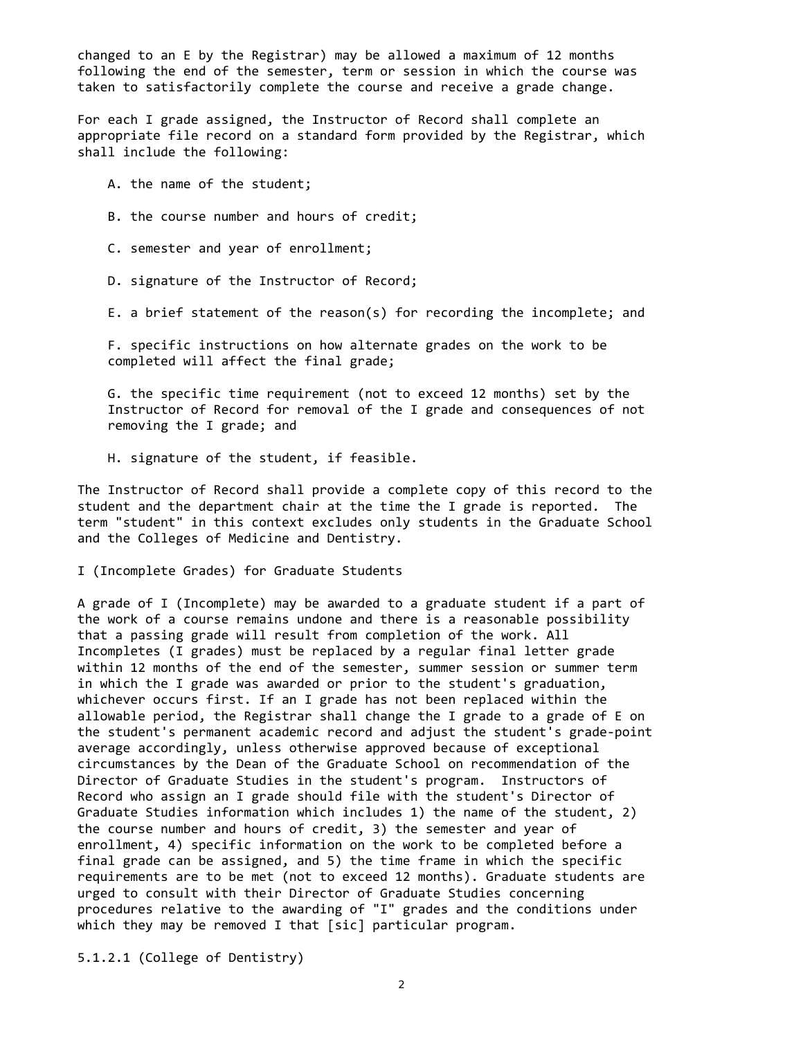changed to an E by the Registrar) may be allowed a maximum of 12 months following the end of the semester, term or session in which the course was taken to satisfactorily complete the course and receive a grade change.

 For each I grade assigned, the Instructor of Record shall complete an appropriate file record on a standard form provided by the Registrar, which shall include the following:

A. the name of the student;

B. the course number and hours of credit;

C. semester and year of enrollment;

D. signature of the Instructor of Record;

E. a brief statement of the reason(s) for recording the incomplete; and

 F. specific instructions on how alternate grades on the work to be completed will affect the final grade;

 G. the specific time requirement (not to exceed 12 months) set by the Instructor of Record for removal of the I grade and consequences of not removing the I grade; and

H. signature of the student, if feasible.

 The Instructor of Record shall provide a complete copy of this record to the student and the department chair at the time the I grade is reported. The term "student" in this context excludes only students in the Graduate School and the Colleges of Medicine and Dentistry.

I (Incomplete Grades) for Graduate Students

 A grade of I (Incomplete) may be awarded to a graduate student if a part of the work of a course remains undone and there is a reasonable possibility that a passing grade will result from completion of the work. All Incompletes (I grades) must be replaced by a regular final letter grade within 12 months of the end of the semester, summer session or summer term in which the I grade was awarded or prior to the student's graduation, whichever occurs first. If an I grade has not been replaced within the allowable period, the Registrar shall change the I grade to a grade of E on the student's permanent academic record and adjust the student's grade‐point average accordingly, unless otherwise approved because of exceptional circumstances by the Dean of the Graduate School on recommendation of the Director of Graduate Studies in the student's program. Instructors of Record who assign an I grade should file with the student's Director of Graduate Studies information which includes 1) the name of the student, 2) the course number and hours of credit, 3) the semester and year of enrollment, 4) specific information on the work to be completed before a final grade can be assigned, and 5) the time frame in which the specific requirements are to be met (not to exceed 12 months). Graduate students are urged to consult with their Director of Graduate Studies concerning procedures relative to the awarding of "I" grades and the conditions under which they may be removed I that [sic] particular program.

5.1.2.1 (College of Dentistry)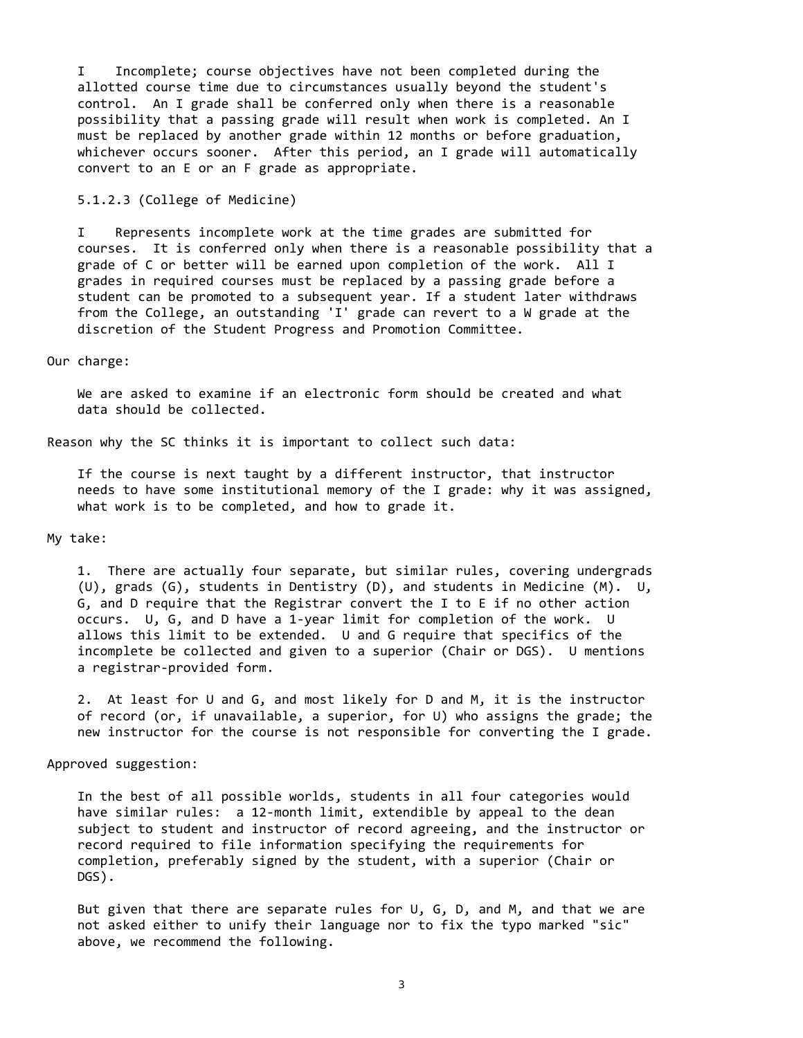I Incomplete; course objectives have not been completed during the allotted course time due to circumstances usually beyond the student's control. An I grade shall be conferred only when there is a reasonable possibility that a passing grade will result when work is completed. An I must be replaced by another grade within 12 months or before graduation, whichever occurs sooner. After this period, an I grade will automatically convert to an E or an F grade as appropriate.

5.1.2.3 (College of Medicine)

 I Represents incomplete work at the time grades are submitted for courses. It is conferred only when there is a reasonable possibility that a grade of C or better will be earned upon completion of the work. All I grades in required courses must be replaced by a passing grade before a student can be promoted to a subsequent year. If a student later withdraws from the College, an outstanding 'I' grade can revert to a W grade at the discretion of the Student Progress and Promotion Committee.

### Our charge:

 We are asked to examine if an electronic form should be created and what data should be collected.

Reason why the SC thinks it is important to collect such data:

 If the course is next taught by a different instructor, that instructor needs to have some institutional memory of the I grade: why it was assigned, what work is to be completed, and how to grade it.

## My take:

 1. There are actually four separate, but similar rules, covering undergrads (U), grads (G), students in Dentistry (D), and students in Medicine (M). U, G, and D require that the Registrar convert the I to E if no other action occurs. U, G, and D have a 1‐year limit for completion of the work. U allows this limit to be extended. U and G require that specifics of the incomplete be collected and given to a superior (Chair or DGS). U mentions a registrar‐provided form.

 2. At least for U and G, and most likely for D and M, it is the instructor of record (or, if unavailable, a superior, for U) who assigns the grade; the new instructor for the course is not responsible for converting the I grade.

#### Approved suggestion:

 In the best of all possible worlds, students in all four categories would have similar rules: a 12-month limit, extendible by appeal to the dean subject to student and instructor of record agreeing, and the instructor or record required to file information specifying the requirements for completion, preferably signed by the student, with a superior (Chair or DGS).

But given that there are separate rules for  $U$ ,  $G$ ,  $D$ , and  $M$ , and that we are not asked either to unify their language nor to fix the typo marked "sic" above, we recommend the following.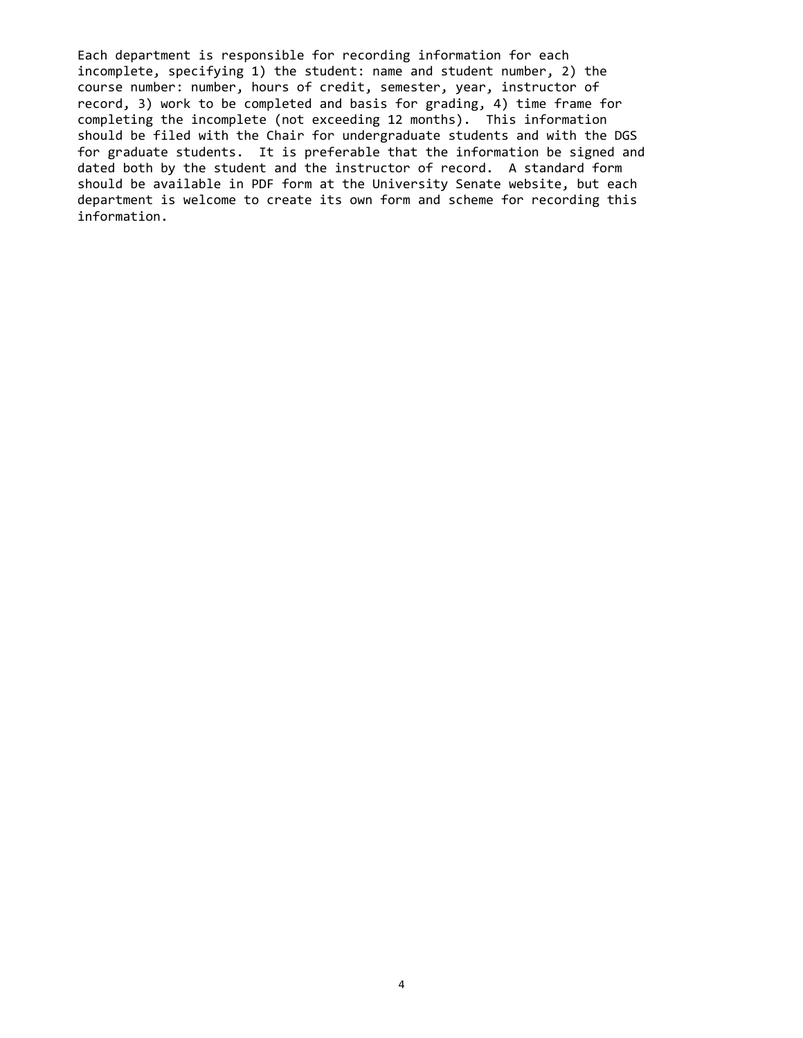Each department is responsible for recording information for each incomplete, specifying 1) the student: name and student number, 2) the course number: number, hours of credit, semester, year, instructor of record, 3) work to be completed and basis for grading, 4) time frame for completing the incomplete (not exceeding 12 months). This information should be filed with the Chair for undergraduate students and with the DGS for graduate students. It is preferable that the information be signed and dated both by the student and the instructor of record. A standard form should be available in PDF form at the University Senate website, but each department is welcome to create its own form and scheme for recording this information.